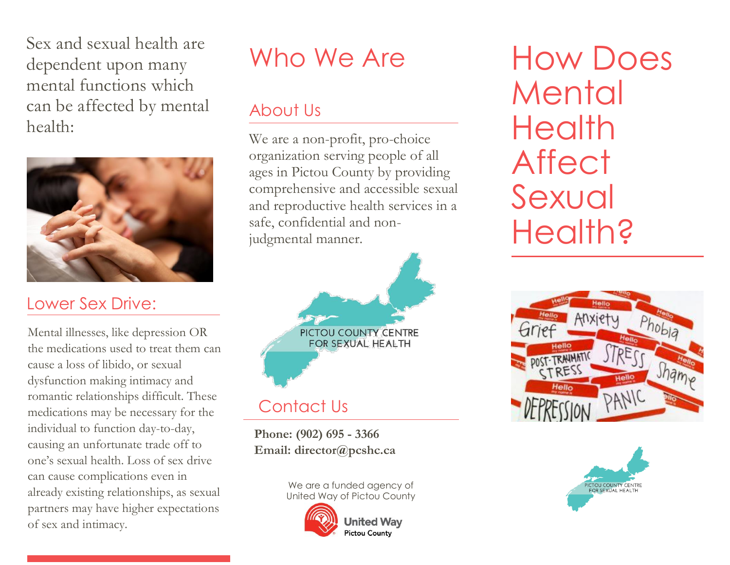Sex and sexual health are dependent upon many mental functions which can be affected by mental health:



## Lower Sex Drive:

Mental illnesses, like depression OR the medications used to treat them can cause a loss of libido, or sexual dysfunction making intimacy and romantic relationships difficult. These medications may be necessary for the individual to function day-to-day, causing an unfortunate trade off to one's sexual health. Loss of sex drive can cause complications even in already existing relationships, as sexual partners may have higher expectations of sex and intimacy.

# Who We Are

#### About Us

We are a non-profit, pro-choice organization serving people of all ages in Pictou County by providing comprehensive and accessible sexual and reproductive health services in a safe, confidential and nonjudgmental manner.



 **Phone: (902) 695 - 3366 Email: director@pcshc.ca**

> We are a funded agency of United Way of Pictou County



**United Way Pictou County** 

How Does Mental **Health Affect** Sexual **Health?**